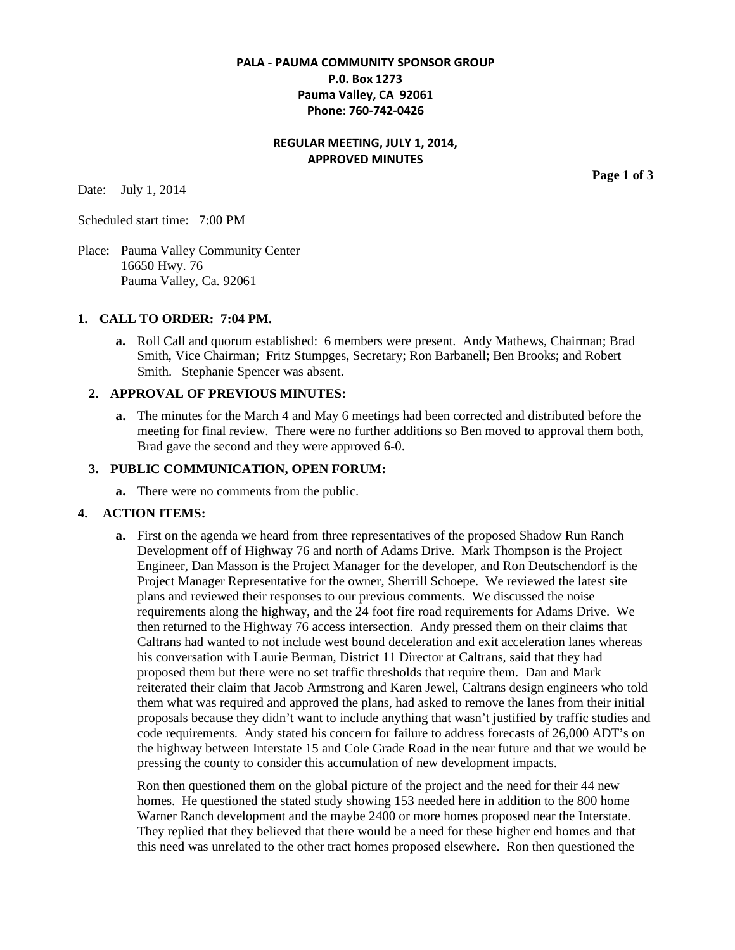# **PALA - PAUMA COMMUNITY SPONSOR GROUP P.0. Box 1273 Pauma Valley, CA 92061 Phone: 760-742-0426**

# **REGULAR MEETING, JULY 1, 2014, APPROVED MINUTES**

Date: July 1, 2014

Scheduled start time: 7:00 PM

Place: Pauma Valley Community Center 16650 Hwy. 76 Pauma Valley, Ca. 92061

#### **1. CALL TO ORDER: 7:04 PM.**

**a.** Roll Call and quorum established: 6 members were present. Andy Mathews, Chairman; Brad Smith, Vice Chairman; Fritz Stumpges, Secretary; Ron Barbanell; Ben Brooks; and Robert Smith. Stephanie Spencer was absent.

## **2. APPROVAL OF PREVIOUS MINUTES:**

**a.** The minutes for the March 4 and May 6 meetings had been corrected and distributed before the meeting for final review. There were no further additions so Ben moved to approval them both, Brad gave the second and they were approved 6-0.

## **3. PUBLIC COMMUNICATION, OPEN FORUM:**

**a.** There were no comments from the public.

## **4. ACTION ITEMS:**

**a.** First on the agenda we heard from three representatives of the proposed Shadow Run Ranch Development off of Highway 76 and north of Adams Drive. Mark Thompson is the Project Engineer, Dan Masson is the Project Manager for the developer, and Ron Deutschendorf is the Project Manager Representative for the owner, Sherrill Schoepe. We reviewed the latest site plans and reviewed their responses to our previous comments. We discussed the noise requirements along the highway, and the 24 foot fire road requirements for Adams Drive. We then returned to the Highway 76 access intersection. Andy pressed them on their claims that Caltrans had wanted to not include west bound deceleration and exit acceleration lanes whereas his conversation with Laurie Berman, District 11 Director at Caltrans, said that they had proposed them but there were no set traffic thresholds that require them. Dan and Mark reiterated their claim that Jacob Armstrong and Karen Jewel, Caltrans design engineers who told them what was required and approved the plans, had asked to remove the lanes from their initial proposals because they didn't want to include anything that wasn't justified by traffic studies and code requirements. Andy stated his concern for failure to address forecasts of 26,000 ADT's on the highway between Interstate 15 and Cole Grade Road in the near future and that we would be pressing the county to consider this accumulation of new development impacts.

Ron then questioned them on the global picture of the project and the need for their 44 new homes. He questioned the stated study showing 153 needed here in addition to the 800 home Warner Ranch development and the maybe 2400 or more homes proposed near the Interstate. They replied that they believed that there would be a need for these higher end homes and that this need was unrelated to the other tract homes proposed elsewhere. Ron then questioned the

**Page 1 of 3**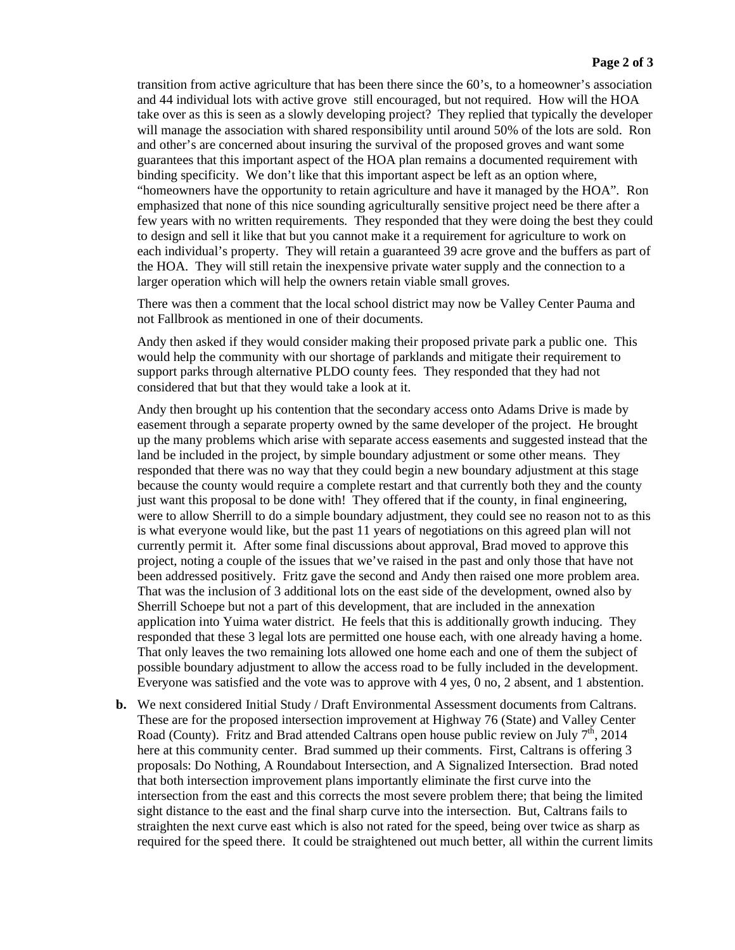transition from active agriculture that has been there since the 60's, to a homeowner's association and 44 individual lots with active grove still encouraged, but not required. How will the HOA take over as this is seen as a slowly developing project? They replied that typically the developer will manage the association with shared responsibility until around 50% of the lots are sold. Ron and other's are concerned about insuring the survival of the proposed groves and want some guarantees that this important aspect of the HOA plan remains a documented requirement with binding specificity. We don't like that this important aspect be left as an option where, "homeowners have the opportunity to retain agriculture and have it managed by the HOA". Ron emphasized that none of this nice sounding agriculturally sensitive project need be there after a few years with no written requirements. They responded that they were doing the best they could to design and sell it like that but you cannot make it a requirement for agriculture to work on each individual's property. They will retain a guaranteed 39 acre grove and the buffers as part of the HOA. They will still retain the inexpensive private water supply and the connection to a larger operation which will help the owners retain viable small groves.

There was then a comment that the local school district may now be Valley Center Pauma and not Fallbrook as mentioned in one of their documents.

Andy then asked if they would consider making their proposed private park a public one. This would help the community with our shortage of parklands and mitigate their requirement to support parks through alternative PLDO county fees. They responded that they had not considered that but that they would take a look at it.

Andy then brought up his contention that the secondary access onto Adams Drive is made by easement through a separate property owned by the same developer of the project. He brought up the many problems which arise with separate access easements and suggested instead that the land be included in the project, by simple boundary adjustment or some other means. They responded that there was no way that they could begin a new boundary adjustment at this stage because the county would require a complete restart and that currently both they and the county just want this proposal to be done with! They offered that if the county, in final engineering, were to allow Sherrill to do a simple boundary adjustment, they could see no reason not to as this is what everyone would like, but the past 11 years of negotiations on this agreed plan will not currently permit it. After some final discussions about approval, Brad moved to approve this project, noting a couple of the issues that we've raised in the past and only those that have not been addressed positively. Fritz gave the second and Andy then raised one more problem area. That was the inclusion of 3 additional lots on the east side of the development, owned also by Sherrill Schoepe but not a part of this development, that are included in the annexation application into Yuima water district. He feels that this is additionally growth inducing. They responded that these 3 legal lots are permitted one house each, with one already having a home. That only leaves the two remaining lots allowed one home each and one of them the subject of possible boundary adjustment to allow the access road to be fully included in the development. Everyone was satisfied and the vote was to approve with 4 yes, 0 no, 2 absent, and 1 abstention.

**b.** We next considered Initial Study / Draft Environmental Assessment documents from Caltrans. These are for the proposed intersection improvement at Highway 76 (State) and Valley Center Road (County). Fritz and Brad attended Caltrans open house public review on July  $7<sup>th</sup>$ , 2014 here at this community center. Brad summed up their comments. First, Caltrans is offering 3 proposals: Do Nothing, A Roundabout Intersection, and A Signalized Intersection. Brad noted that both intersection improvement plans importantly eliminate the first curve into the intersection from the east and this corrects the most severe problem there; that being the limited sight distance to the east and the final sharp curve into the intersection. But, Caltrans fails to straighten the next curve east which is also not rated for the speed, being over twice as sharp as required for the speed there. It could be straightened out much better, all within the current limits